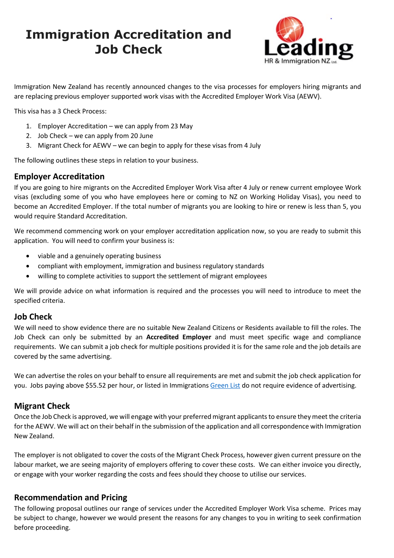# **Immigration Accreditation and Job Check**



Immigration New Zealand has recently announced changes to the visa processes for employers hiring migrants and are replacing previous employer supported work visas with the Accredited Employer Work Visa (AEWV).

This visa has a 3 Check Process:

- 1. Employer Accreditation we can apply from 23 May
- 2. Job Check we can apply from 20 June
- 3. Migrant Check for AEWV we can begin to apply for these visas from 4 July

The following outlines these steps in relation to your business.

## **Employer Accreditation**

If you are going to hire migrants on the Accredited Employer Work Visa after 4 July or renew current employee Work visas (excluding some of you who have employees here or coming to NZ on Working Holiday Visas), you need to become an Accredited Employer. If the total number of migrants you are looking to hire or renew is less than 5, you would require Standard Accreditation.

We recommend commencing work on your employer accreditation application now, so you are ready to submit this application. You will need to confirm your business is:

- viable and a genuinely operating business
- compliant with employment, immigration and business regulatory standards
- willing to complete activities to support the settlement of migrant employees

We will provide advice on what information is required and the processes you will need to introduce to meet the specified criteria.

#### **Job Check**

We will need to show evidence there are no suitable New Zealand Citizens or Residents available to fill the roles. The Job Check can only be submitted by an **Accredited Employer** and must meet specific wage and compliance requirements. We can submit a job check for multiple positions provided it is for the same role and the job details are covered by the same advertising.

We can advertise the roles on your behalf to ensure all requirements are met and submit the job check application for you. Jobs paying above \$55.52 per hour, or listed in Immigrations [Green List](https://www.immigration.govt.nz/new-zealand-visas/apply-for-a-visa/tools-and-information/work-and-employment/green-list-occupations) do not require evidence of advertising.

# **Migrant Check**

Once the Job Check is approved, we will engage with your preferred migrant applicants to ensure they meet the criteria for the AEWV. We will act on their behalf in the submission of the application and all correspondence with Immigration New Zealand.

The employer is not obligated to cover the costs of the Migrant Check Process, however given current pressure on the labour market, we are seeing majority of employers offering to cover these costs. We can either invoice you directly, or engage with your worker regarding the costs and fees should they choose to utilise our services.

#### **Recommendation and Pricing**

The following proposal outlines our range of services under the Accredited Employer Work Visa scheme. Prices may be subject to change, however we would present the reasons for any changes to you in writing to seek confirmation before proceeding.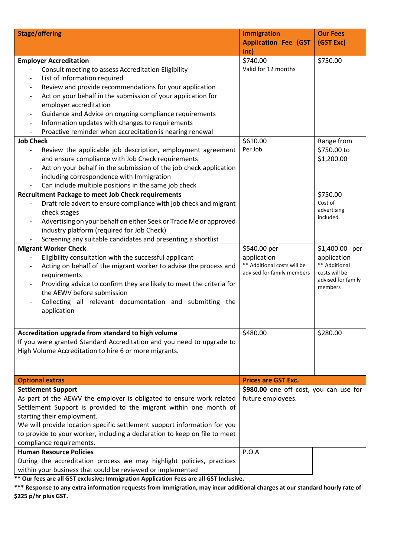| <b>Stage/offering</b>                                                                              | <b>Immigration</b>                         | <b>Our Fees</b>              |
|----------------------------------------------------------------------------------------------------|--------------------------------------------|------------------------------|
|                                                                                                    | <b>Application Fee (GST</b>                | (GST Exc)                    |
|                                                                                                    | inc)                                       |                              |
| <b>Employer Accreditation</b>                                                                      | \$740.00                                   | \$750.00                     |
| Consult meeting to assess Accreditation Eligibility                                                | Valid for 12 months                        |                              |
| List of information required<br>$\overline{a}$                                                     |                                            |                              |
| Review and provide recommendations for your application<br>$\overline{a}$                          |                                            |                              |
| Act on your behalf in the submission of your application for<br>$\overline{a}$                     |                                            |                              |
| employer accreditation                                                                             |                                            |                              |
| Guidance and Advice on ongoing compliance requirements<br>$\overline{\phantom{0}}$                 |                                            |                              |
| Information updates with changes to requirements<br>$\qquad \qquad \blacksquare$                   |                                            |                              |
| Proactive reminder when accreditation is nearing renewal                                           |                                            |                              |
| <b>Job Check</b>                                                                                   | \$610.00                                   | Range from                   |
| Review the applicable job description, employment agreement                                        | Per Job                                    | \$750.00 to                  |
| and ensure compliance with Job Check requirements                                                  |                                            | \$1,200.00                   |
| Act on your behalf in the submission of the job check application<br>$\overline{a}$                |                                            |                              |
| including correspondence with Immigration                                                          |                                            |                              |
| Can include multiple positions in the same job check                                               |                                            |                              |
| <b>Recruitment Package to meet Job Check requirements</b>                                          |                                            | \$750.00                     |
| Draft role advert to ensure compliance with job check and migrant                                  |                                            | Cost of<br>advertising       |
| check stages                                                                                       |                                            | included                     |
| Advertising on your behalf on either Seek or Trade Me or approved                                  |                                            |                              |
| industry platform (required for Job Check)                                                         |                                            |                              |
| Screening any suitable candidates and presenting a shortlist                                       |                                            |                              |
| <b>Migrant Worker Check</b>                                                                        | \$540.00 per                               | \$1,400.00 per               |
| Eligibility consultation with the successful applicant                                             | application<br>** Additional costs will be | application<br>** Additional |
| Acting on behalf of the migrant worker to advise the process and<br>$\overline{a}$                 | advised for family members                 | costs will be                |
| requirements                                                                                       |                                            | advised for family           |
| Providing advice to confirm they are likely to meet the criteria for<br>the AEWV before submission |                                            | members                      |
|                                                                                                    |                                            |                              |
| Collecting all relevant documentation and submitting the                                           |                                            |                              |
| application                                                                                        |                                            |                              |
|                                                                                                    |                                            |                              |
| Accreditation upgrade from standard to high volume                                                 | \$480.00                                   | \$280.00                     |
| If you were granted Standard Accreditation and you need to upgrade to                              |                                            |                              |
| High Volume Accreditation to hire 6 or more migrants.                                              |                                            |                              |
|                                                                                                    |                                            |                              |
|                                                                                                    |                                            |                              |
| <b>Optional extras</b>                                                                             | <b>Prices are GST Exc.</b>                 |                              |
| <b>Settlement Support</b>                                                                          | \$980.00 one off cost, you can use for     |                              |
| As part of the AEWV the employer is obligated to ensure work related                               | future employees.                          |                              |
| Settlement Support is provided to the migrant within one month of                                  |                                            |                              |
| starting their employment.                                                                         |                                            |                              |
| We will provide location specific settlement support information for you                           |                                            |                              |
| to provide to your worker, including a declaration to keep on file to meet                         |                                            |                              |
| compliance requirements.                                                                           |                                            |                              |
| <b>Human Resource Policies</b>                                                                     | P.O.A                                      |                              |
| During the accreditation process we may highlight policies, practices                              |                                            |                              |
| within your business that could be reviewed or implemented                                         |                                            |                              |

**\*\* Our fees are all GST exclusive; Immigration Application Fees are all GST Inclusive.** 

**\*\*\* Response to any extra information requests from Immigration, may incur additional charges at our standard hourly rate of \$225 p/hr plus GST.**